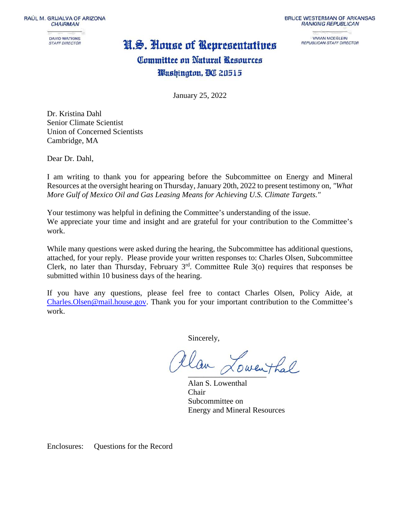RAÚL M. GRIJALVA OF ARIZONA **CHAIRMAN** 



## N.S. House of Representatives

**BRUCE WESTERMAN OF ARKANSAS RANKING REPUBLICAN** 

> **VIVIAN MOEGLEIN** REPUBLICAN STAFF DIRECTOR

## Committee on Natural Resources Washington, BC 20515

January 25, 2022

Dr. Kristina Dahl Senior Climate Scientist Union of Concerned Scientists Cambridge, MA

Dear Dr. Dahl,

I am writing to thank you for appearing before the Subcommittee on Energy and Mineral Resources at the oversight hearing on Thursday, January 20th, 2022 to present testimony on*, "What More Gulf of Mexico Oil and Gas Leasing Means for Achieving U.S. Climate Targets."*

Your testimony was helpful in defining the Committee's understanding of the issue. We appreciate your time and insight and are grateful for your contribution to the Committee's work.

While many questions were asked during the hearing, the Subcommittee has additional questions, attached, for your reply. Please provide your written responses to: Charles Olsen, Subcommittee Clerk, no later than Thursday, February  $3<sup>rd</sup>$ . Committee Rule 3(o) requires that responses be submitted within 10 business days of the hearing.

If you have any questions, please feel free to contact Charles Olsen, Policy Aide, at [Charles.Olsen@mail.house.gov.](mailto:Charles.Olsen@mail.house.gov) Thank you for your important contribution to the Committee's work.

Sincerely,

tlan Lowenthal

Alan S. Lowenthal Chair Subcommittee on Energy and Mineral Resources

Enclosures: Questions for the Record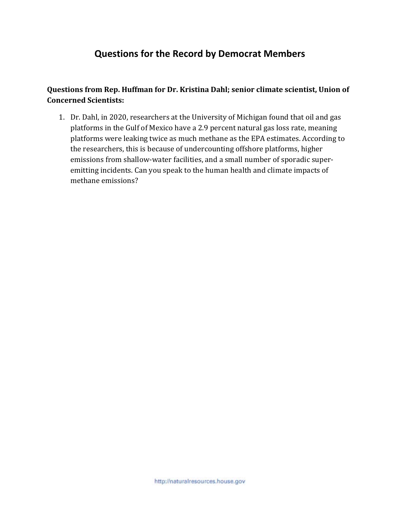## **Questions for the Record by Democrat Members**

**Questions from Rep. Huffman for Dr. Kristina Dahl; senior climate scientist, Union of Concerned Scientists:** 

1. Dr. Dahl, in 2020, researchers at the University of Michigan found that oil and gas platforms in the Gulf of Mexico have a 2.9 percent natural gas loss rate, meaning platforms were leaking twice as much methane as the EPA estimates. According to the researchers, this is because of undercounting offshore platforms, higher emissions from shallow-water facilities, and a small number of sporadic superemitting incidents. Can you speak to the human health and climate impacts of methane emissions?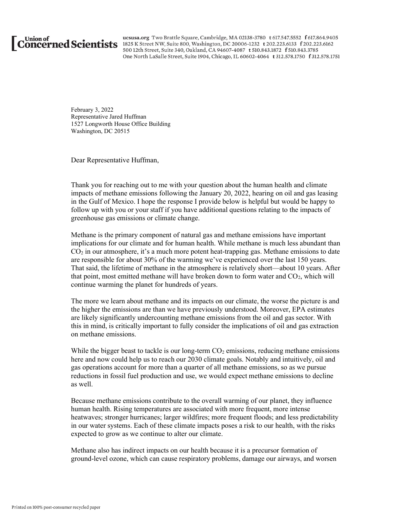

ucsusa.org Two Brattle Square, Cambridge, MA 02138-3780 t 617.547.5552 f 617.864.9405 Union of ususa.org Two Brattle Square, Cambridge, MA 02138-3780 t 617.547.5552 f 617.864.940<br>CONCETNED SCIENTISTS 1825 K Street NW, Suite 800, Washington, DC 20006-1232 t 202.223.6133 f 202.223.6162 500 12th Street, Suite 340, Oakland, CA 94607-4087 t 510.843.1872 f 510.843.3785 One North LaSalle Street, Suite 1904, Chicago, IL 60602-4064 t 312.578.1750 f 312.578.1751

> February 3, 2022 Representative Jared Huffman 1527 Longworth House Office Building Washington, DC 20515

Dear Representative Huffman,

Thank you for reaching out to me with your question about the human health and climate impacts of methane emissions following the January 20, 2022, hearing on oil and gas leasing in the Gulf of Mexico. I hope the response I provide below is helpful but would be happy to follow up with you or your staff if you have additional questions relating to the impacts of greenhouse gas emissions or climate change.

Methane is the primary component of natural gas and methane emissions have important implications for our climate and for human health. While methane is much less abundant than  $CO<sub>2</sub>$  in our atmosphere, it's a much more potent heat-trapping gas. Methane emissions to date are responsible for about 30% of the warming we've experienced over the last 150 years. That said, the lifetime of methane in the atmosphere is relatively short—about 10 years. After that point, most emitted methane will have broken down to form water and  $CO<sub>2</sub>$ , which will continue warming the planet for hundreds of years.

The more we learn about methane and its impacts on our climate, the worse the picture is and the higher the emissions are than we have previously understood. Moreover, EPA estimates are likely significantly undercounting methane emissions from the oil and gas sector. With this in mind, is critically important to fully consider the implications of oil and gas extraction on methane emissions.

While the bigger beast to tackle is our long-term  $CO<sub>2</sub>$  emissions, reducing methane emissions here and now could help us to reach our 2030 climate goals. Notably and intuitively, oil and gas operations account for more than a quarter of all methane emissions, so as we pursue reductions in fossil fuel production and use, we would expect methane emissions to decline as well.

Because methane emissions contribute to the overall warming of our planet, they influence human health. Rising temperatures are associated with more frequent, more intense heatwaves; stronger hurricanes; larger wildfires; more frequent floods; and less predictability in our water systems. Each of these climate impacts poses a risk to our health, with the risks expected to grow as we continue to alter our climate.

Methane also has indirect impacts on our health because it is a precursor formation of ground-level ozone, which can cause respiratory problems, damage our airways, and worsen